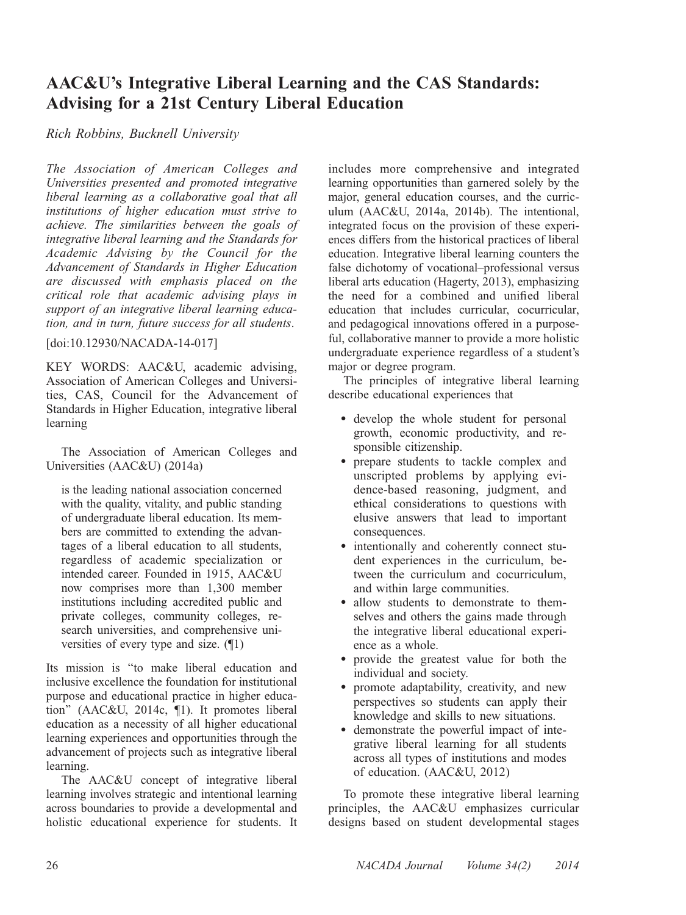# AAC&U's Integrative Liberal Learning and the CAS Standards: Advising for a 21st Century Liberal Education

Rich Robbins, Bucknell University

The Association of American Colleges and Universities presented and promoted integrative liberal learning as a collaborative goal that all institutions of higher education must strive to achieve. The similarities between the goals of integrative liberal learning and the Standards for Academic Advising by the Council for the Advancement of Standards in Higher Education are discussed with emphasis placed on the critical role that academic advising plays in support of an integrative liberal learning education, and in turn, future success for all students.

[doi:10.12930/NACADA-14-017]

KEY WORDS: AAC&U, academic advising, Association of American Colleges and Universities, CAS, Council for the Advancement of Standards in Higher Education, integrative liberal learning

The Association of American Colleges and Universities (AAC&U) (2014a)

is the leading national association concerned with the quality, vitality, and public standing of undergraduate liberal education. Its members are committed to extending the advantages of a liberal education to all students, regardless of academic specialization or intended career. Founded in 1915, AAC&U now comprises more than 1,300 member institutions including accredited public and private colleges, community colleges, research universities, and comprehensive universities of every type and size. (¶1)

Its mission is ''to make liberal education and inclusive excellence the foundation for institutional purpose and educational practice in higher education'' (AAC&U, 2014c, ¶1). It promotes liberal education as a necessity of all higher educational learning experiences and opportunities through the advancement of projects such as integrative liberal learning.

The AAC&U concept of integrative liberal learning involves strategic and intentional learning across boundaries to provide a developmental and holistic educational experience for students. It includes more comprehensive and integrated learning opportunities than garnered solely by the major, general education courses, and the curriculum (AAC&U, 2014a, 2014b). The intentional, integrated focus on the provision of these experiences differs from the historical practices of liberal education. Integrative liberal learning counters the false dichotomy of vocational–professional versus liberal arts education (Hagerty, 2013), emphasizing the need for a combined and unified liberal education that includes curricular, cocurricular, and pedagogical innovations offered in a purposeful, collaborative manner to provide a more holistic undergraduate experience regardless of a student's major or degree program.

The principles of integrative liberal learning describe educational experiences that

- develop the whole student for personal growth, economic productivity, and responsible citizenship.
- prepare students to tackle complex and unscripted problems by applying evidence-based reasoning, judgment, and ethical considerations to questions with elusive answers that lead to important consequences.
- intentionally and coherently connect student experiences in the curriculum, between the curriculum and cocurriculum, and within large communities.
- allow students to demonstrate to themselves and others the gains made through the integrative liberal educational experience as a whole.
- provide the greatest value for both the individual and society.
- promote adaptability, creativity, and new perspectives so students can apply their knowledge and skills to new situations.
- demonstrate the powerful impact of integrative liberal learning for all students across all types of institutions and modes of education. (AAC&U, 2012)

To promote these integrative liberal learning principles, the AAC&U emphasizes curricular designs based on student developmental stages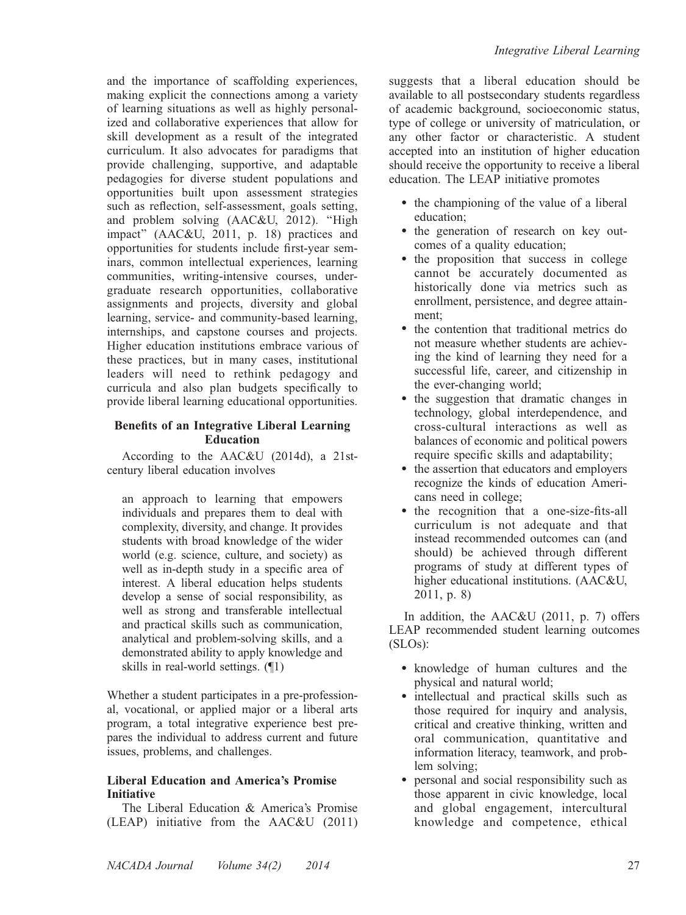and the importance of scaffolding experiences, making explicit the connections among a variety of learning situations as well as highly personalized and collaborative experiences that allow for skill development as a result of the integrated curriculum. It also advocates for paradigms that provide challenging, supportive, and adaptable pedagogies for diverse student populations and opportunities built upon assessment strategies such as reflection, self-assessment, goals setting, and problem solving (AAC&U, 2012). ''High impact'' (AAC&U, 2011, p. 18) practices and opportunities for students include first-year seminars, common intellectual experiences, learning communities, writing-intensive courses, undergraduate research opportunities, collaborative assignments and projects, diversity and global learning, service- and community-based learning, internships, and capstone courses and projects. Higher education institutions embrace various of these practices, but in many cases, institutional leaders will need to rethink pedagogy and curricula and also plan budgets specifically to provide liberal learning educational opportunities.

### Benefits of an Integrative Liberal Learning **Education**

According to the AAC&U (2014d), a 21stcentury liberal education involves

an approach to learning that empowers individuals and prepares them to deal with complexity, diversity, and change. It provides students with broad knowledge of the wider world (e.g. science, culture, and society) as well as in-depth study in a specific area of interest. A liberal education helps students develop a sense of social responsibility, as well as strong and transferable intellectual and practical skills such as communication, analytical and problem-solving skills, and a demonstrated ability to apply knowledge and skills in real-world settings. (¶1)

Whether a student participates in a pre-professional, vocational, or applied major or a liberal arts program, a total integrative experience best prepares the individual to address current and future issues, problems, and challenges.

### Liberal Education and America's Promise Initiative

The Liberal Education & America's Promise (LEAP) initiative from the AAC&U (2011) suggests that a liberal education should be available to all postsecondary students regardless of academic background, socioeconomic status, type of college or university of matriculation, or any other factor or characteristic. A student accepted into an institution of higher education should receive the opportunity to receive a liberal education. The LEAP initiative promotes

- the championing of the value of a liberal education;
- the generation of research on key outcomes of a quality education;
- the proposition that success in college cannot be accurately documented as historically done via metrics such as enrollment, persistence, and degree attainment;
- the contention that traditional metrics do not measure whether students are achieving the kind of learning they need for a successful life, career, and citizenship in the ever-changing world;
- the suggestion that dramatic changes in technology, global interdependence, and cross-cultural interactions as well as balances of economic and political powers require specific skills and adaptability;
- the assertion that educators and employers recognize the kinds of education Americans need in college;
- the recognition that a one-size-fits-all curriculum is not adequate and that instead recommended outcomes can (and should) be achieved through different programs of study at different types of higher educational institutions. (AAC&U, 2011, p. 8)

In addition, the AAC&U (2011, p. 7) offers LEAP recommended student learning outcomes (SLOs):

- knowledge of human cultures and the physical and natural world;
- intellectual and practical skills such as those required for inquiry and analysis, critical and creative thinking, written and oral communication, quantitative and information literacy, teamwork, and problem solving;
- personal and social responsibility such as those apparent in civic knowledge, local and global engagement, intercultural knowledge and competence, ethical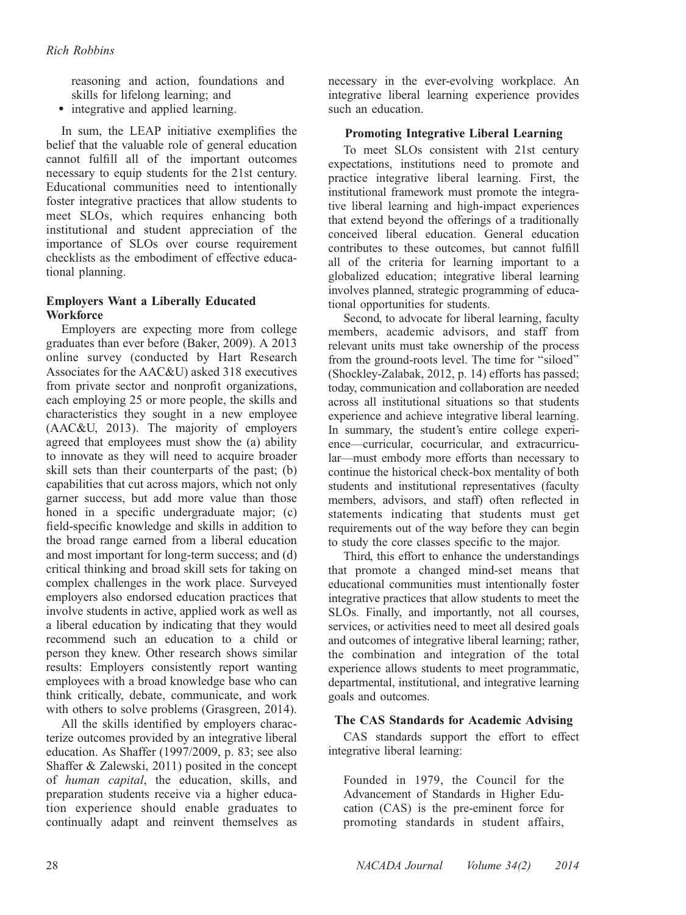reasoning and action, foundations and skills for lifelong learning; and

• integrative and applied learning.

In sum, the LEAP initiative exemplifies the belief that the valuable role of general education cannot fulfill all of the important outcomes necessary to equip students for the 21st century. Educational communities need to intentionally foster integrative practices that allow students to meet SLOs, which requires enhancing both institutional and student appreciation of the importance of SLOs over course requirement checklists as the embodiment of effective educational planning.

# Employers Want a Liberally Educated **Workforce**

Employers are expecting more from college graduates than ever before (Baker, 2009). A 2013 online survey (conducted by Hart Research Associates for the AAC&U) asked 318 executives from private sector and nonprofit organizations, each employing 25 or more people, the skills and characteristics they sought in a new employee (AAC&U, 2013). The majority of employers agreed that employees must show the (a) ability to innovate as they will need to acquire broader skill sets than their counterparts of the past; (b) capabilities that cut across majors, which not only garner success, but add more value than those honed in a specific undergraduate major; (c) field-specific knowledge and skills in addition to the broad range earned from a liberal education and most important for long-term success; and (d) critical thinking and broad skill sets for taking on complex challenges in the work place. Surveyed employers also endorsed education practices that involve students in active, applied work as well as a liberal education by indicating that they would recommend such an education to a child or person they knew. Other research shows similar results: Employers consistently report wanting employees with a broad knowledge base who can think critically, debate, communicate, and work with others to solve problems (Grasgreen, 2014).

All the skills identified by employers characterize outcomes provided by an integrative liberal education. As Shaffer (1997/2009, p. 83; see also Shaffer & Zalewski, 2011) posited in the concept of human capital, the education, skills, and preparation students receive via a higher education experience should enable graduates to continually adapt and reinvent themselves as

necessary in the ever-evolving workplace. An integrative liberal learning experience provides such an education.

### Promoting Integrative Liberal Learning

To meet SLOs consistent with 21st century expectations, institutions need to promote and practice integrative liberal learning. First, the institutional framework must promote the integrative liberal learning and high-impact experiences that extend beyond the offerings of a traditionally conceived liberal education. General education contributes to these outcomes, but cannot fulfill all of the criteria for learning important to a globalized education; integrative liberal learning involves planned, strategic programming of educational opportunities for students.

Second, to advocate for liberal learning, faculty members, academic advisors, and staff from relevant units must take ownership of the process from the ground-roots level. The time for ''siloed'' (Shockley-Zalabak, 2012, p. 14) efforts has passed; today, communication and collaboration are needed across all institutional situations so that students experience and achieve integrative liberal learning. In summary, the student's entire college experience—curricular, cocurricular, and extracurricular—must embody more efforts than necessary to continue the historical check-box mentality of both students and institutional representatives (faculty members, advisors, and staff) often reflected in statements indicating that students must get requirements out of the way before they can begin to study the core classes specific to the major.

Third, this effort to enhance the understandings that promote a changed mind-set means that educational communities must intentionally foster integrative practices that allow students to meet the SLOs. Finally, and importantly, not all courses, services, or activities need to meet all desired goals and outcomes of integrative liberal learning; rather, the combination and integration of the total experience allows students to meet programmatic, departmental, institutional, and integrative learning goals and outcomes.

### The CAS Standards for Academic Advising

CAS standards support the effort to effect integrative liberal learning:

Founded in 1979, the Council for the Advancement of Standards in Higher Education (CAS) is the pre-eminent force for promoting standards in student affairs,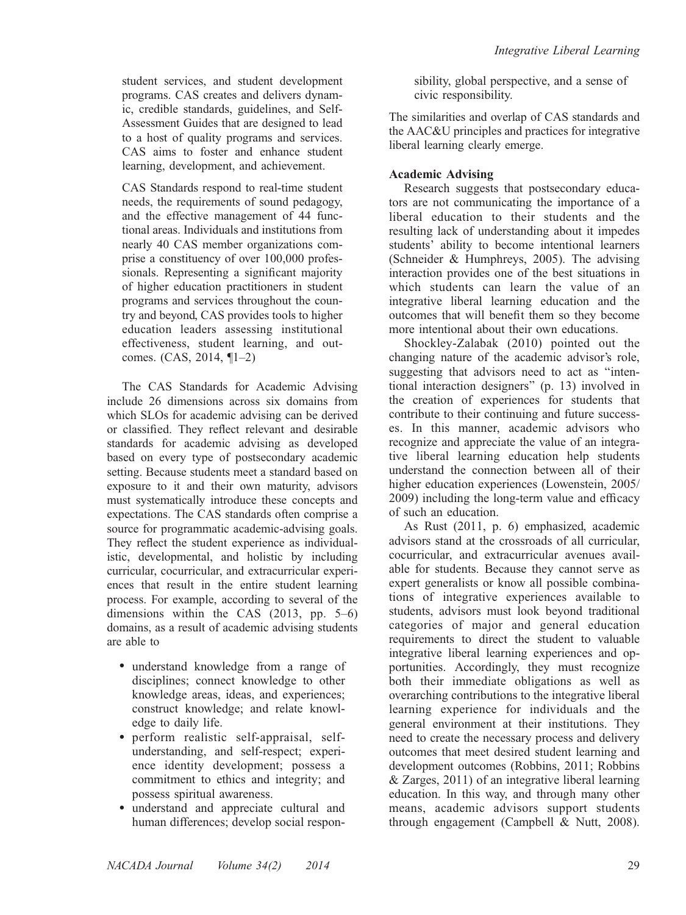student services, and student development programs. CAS creates and delivers dynamic, credible standards, guidelines, and Self-Assessment Guides that are designed to lead to a host of quality programs and services. CAS aims to foster and enhance student learning, development, and achievement.

CAS Standards respond to real-time student needs, the requirements of sound pedagogy, and the effective management of 44 functional areas. Individuals and institutions from nearly 40 CAS member organizations comprise a constituency of over 100,000 professionals. Representing a significant majority of higher education practitioners in student programs and services throughout the country and beyond, CAS provides tools to higher education leaders assessing institutional effectiveness, student learning, and outcomes. (CAS, 2014, ¶1–2)

The CAS Standards for Academic Advising include 26 dimensions across six domains from which SLOs for academic advising can be derived or classified. They reflect relevant and desirable standards for academic advising as developed based on every type of postsecondary academic setting. Because students meet a standard based on exposure to it and their own maturity, advisors must systematically introduce these concepts and expectations. The CAS standards often comprise a source for programmatic academic-advising goals. They reflect the student experience as individualistic, developmental, and holistic by including curricular, cocurricular, and extracurricular experiences that result in the entire student learning process. For example, according to several of the dimensions within the CAS (2013, pp. 5–6) domains, as a result of academic advising students are able to

- understand knowledge from a range of disciplines; connect knowledge to other knowledge areas, ideas, and experiences; construct knowledge; and relate knowledge to daily life.
- perform realistic self-appraisal, selfunderstanding, and self-respect; experience identity development; possess a commitment to ethics and integrity; and possess spiritual awareness.
- understand and appreciate cultural and human differences; develop social respon-

sibility, global perspective, and a sense of civic responsibility.

The similarities and overlap of CAS standards and the AAC&U principles and practices for integrative liberal learning clearly emerge.

# Academic Advising

Research suggests that postsecondary educators are not communicating the importance of a liberal education to their students and the resulting lack of understanding about it impedes students' ability to become intentional learners (Schneider & Humphreys, 2005). The advising interaction provides one of the best situations in which students can learn the value of an integrative liberal learning education and the outcomes that will benefit them so they become more intentional about their own educations.

Shockley-Zalabak (2010) pointed out the changing nature of the academic advisor's role, suggesting that advisors need to act as ''intentional interaction designers'' (p. 13) involved in the creation of experiences for students that contribute to their continuing and future successes. In this manner, academic advisors who recognize and appreciate the value of an integrative liberal learning education help students understand the connection between all of their higher education experiences (Lowenstein, 2005/ 2009) including the long-term value and efficacy of such an education.

As Rust (2011, p. 6) emphasized, academic advisors stand at the crossroads of all curricular, cocurricular, and extracurricular avenues available for students. Because they cannot serve as expert generalists or know all possible combinations of integrative experiences available to students, advisors must look beyond traditional categories of major and general education requirements to direct the student to valuable integrative liberal learning experiences and opportunities. Accordingly, they must recognize both their immediate obligations as well as overarching contributions to the integrative liberal learning experience for individuals and the general environment at their institutions. They need to create the necessary process and delivery outcomes that meet desired student learning and development outcomes (Robbins, 2011; Robbins & Zarges, 2011) of an integrative liberal learning education. In this way, and through many other means, academic advisors support students through engagement (Campbell & Nutt, 2008).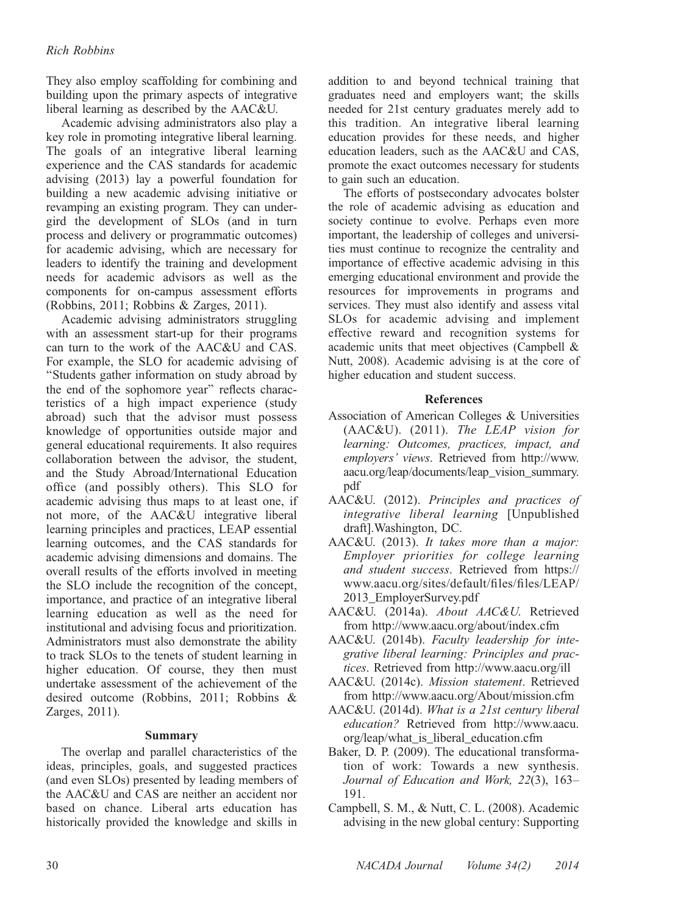### Rich Robbins

They also employ scaffolding for combining and building upon the primary aspects of integrative liberal learning as described by the AAC&U.

Academic advising administrators also play a key role in promoting integrative liberal learning. The goals of an integrative liberal learning experience and the CAS standards for academic advising (2013) lay a powerful foundation for building a new academic advising initiative or revamping an existing program. They can undergird the development of SLOs (and in turn process and delivery or programmatic outcomes) for academic advising, which are necessary for leaders to identify the training and development needs for academic advisors as well as the components for on-campus assessment efforts (Robbins, 2011; Robbins & Zarges, 2011).

Academic advising administrators struggling with an assessment start-up for their programs can turn to the work of the AAC&U and CAS. For example, the SLO for academic advising of ''Students gather information on study abroad by the end of the sophomore year'' reflects characteristics of a high impact experience (study abroad) such that the advisor must possess knowledge of opportunities outside major and general educational requirements. It also requires collaboration between the advisor, the student, and the Study Abroad/International Education office (and possibly others). This SLO for academic advising thus maps to at least one, if not more, of the AAC&U integrative liberal learning principles and practices, LEAP essential learning outcomes, and the CAS standards for academic advising dimensions and domains. The overall results of the efforts involved in meeting the SLO include the recognition of the concept, importance, and practice of an integrative liberal learning education as well as the need for institutional and advising focus and prioritization. Administrators must also demonstrate the ability to track SLOs to the tenets of student learning in higher education. Of course, they then must undertake assessment of the achievement of the desired outcome (Robbins, 2011; Robbins & Zarges, 2011).

### Summary

The overlap and parallel characteristics of the ideas, principles, goals, and suggested practices (and even SLOs) presented by leading members of the AAC&U and CAS are neither an accident nor based on chance. Liberal arts education has historically provided the knowledge and skills in

addition to and beyond technical training that graduates need and employers want; the skills needed for 21st century graduates merely add to this tradition. An integrative liberal learning education provides for these needs, and higher education leaders, such as the AAC&U and CAS, promote the exact outcomes necessary for students to gain such an education.

The efforts of postsecondary advocates bolster the role of academic advising as education and society continue to evolve. Perhaps even more important, the leadership of colleges and universities must continue to recognize the centrality and importance of effective academic advising in this emerging educational environment and provide the resources for improvements in programs and services. They must also identify and assess vital SLOs for academic advising and implement effective reward and recognition systems for academic units that meet objectives (Campbell & Nutt, 2008). Academic advising is at the core of higher education and student success.

### References

- Association of American Colleges & Universities (AAC&U). (2011). The LEAP vision for learning: Outcomes, practices, impact, and employers' views. Retrieved from http://www. aacu.org/leap/documents/leap\_vision\_summary. pdf
- AAC&U. (2012). Principles and practices of integrative liberal learning [Unpublished draft].Washington, DC.
- AAC&U. (2013). It takes more than a major: Employer priorities for college learning and student success. Retrieved from https:// www.aacu.org/sites/default/files/files/LEAP/ 2013\_EmployerSurvey.pdf
- AAC&U. (2014a). About AAC&U. Retrieved from http://www.aacu.org/about/index.cfm
- AAC&U. (2014b). Faculty leadership for integrative liberal learning: Principles and practices. Retrieved from http://www.aacu.org/ill
- AAC&U. (2014c). Mission statement. Retrieved from http://www.aacu.org/About/mission.cfm
- AAC&U. (2014d). What is a 21st century liberal education? Retrieved from http://www.aacu. org/leap/what\_is\_liberal\_education.cfm
- Baker, D. P. (2009). The educational transformation of work: Towards a new synthesis. Journal of Education and Work, 22(3), 163– 191.
- Campbell, S. M., & Nutt, C. L. (2008). Academic advising in the new global century: Supporting